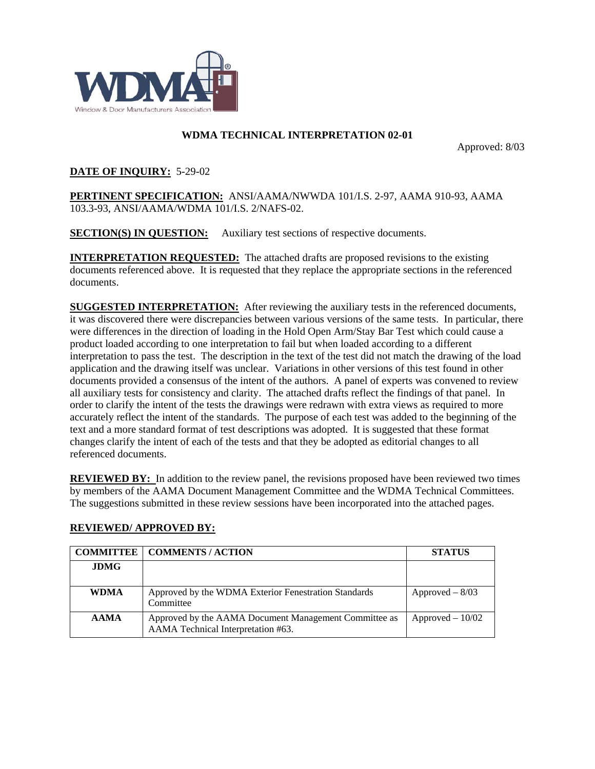

## **WDMA TECHNICAL INTERPRETATION 02-01**

Approved: 8/03

## **DATE OF INQUIRY:** 5-29-02

**PERTINENT SPECIFICATION:** ANSI/AAMA/NWWDA 101/I.S. 2-97, AAMA 910-93, AAMA 103.3-93, ANSI/AAMA/WDMA 101/I.S. 2/NAFS-02.

**SECTION(S) IN QUESTION:** Auxiliary test sections of respective documents.

**INTERPRETATION REQUESTED:** The attached drafts are proposed revisions to the existing documents referenced above. It is requested that they replace the appropriate sections in the referenced documents.

**SUGGESTED INTERPRETATION:** After reviewing the auxiliary tests in the referenced documents, it was discovered there were discrepancies between various versions of the same tests. In particular, there were differences in the direction of loading in the Hold Open Arm/Stay Bar Test which could cause a product loaded according to one interpretation to fail but when loaded according to a different interpretation to pass the test. The description in the text of the test did not match the drawing of the load application and the drawing itself was unclear. Variations in other versions of this test found in other documents provided a consensus of the intent of the authors. A panel of experts was convened to review all auxiliary tests for consistency and clarity. The attached drafts reflect the findings of that panel. In order to clarify the intent of the tests the drawings were redrawn with extra views as required to more accurately reflect the intent of the standards. The purpose of each test was added to the beginning of the text and a more standard format of test descriptions was adopted. It is suggested that these format changes clarify the intent of each of the tests and that they be adopted as editorial changes to all referenced documents.

**REVIEWED BY:** In addition to the review panel, the revisions proposed have been reviewed two times by members of the AAMA Document Management Committee and the WDMA Technical Committees. The suggestions submitted in these review sessions have been incorporated into the attached pages.

| <b>COMMITTEE</b> | <b>COMMENTS / ACTION</b>                                                                    | <b>STATUS</b>            |
|------------------|---------------------------------------------------------------------------------------------|--------------------------|
| <b>JDMG</b>      |                                                                                             |                          |
| <b>WDMA</b>      | Approved by the WDMA Exterior Fenestration Standards<br>Committee                           | $\text{Approved} - 8/03$ |
| <b>AAMA</b>      | Approved by the AAMA Document Management Committee as<br>AAMA Technical Interpretation #63. | $A$ pproved $-10/02$     |

# **REVIEWED/ APPROVED BY:**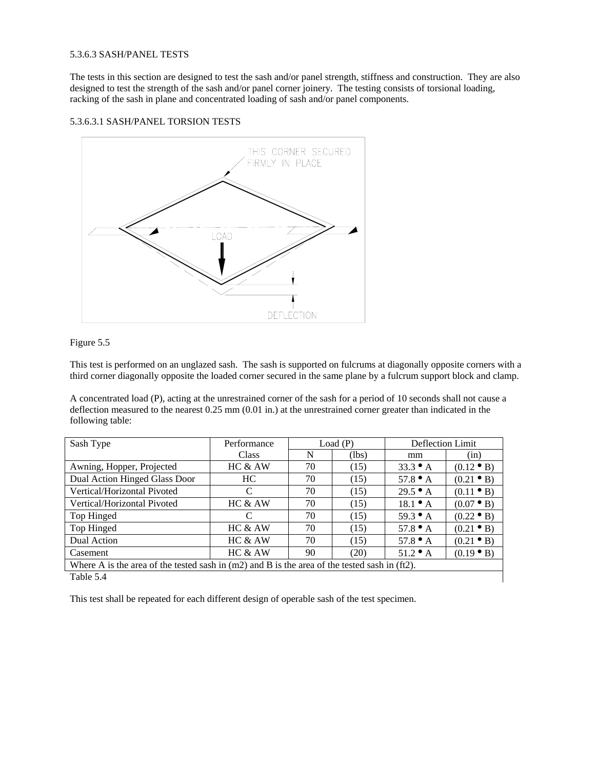### 5.3.6.3 SASH/PANEL TESTS

The tests in this section are designed to test the sash and/or panel strength, stiffness and construction. They are also designed to test the strength of the sash and/or panel corner joinery. The testing consists of torsional loading, racking of the sash in plane and concentrated loading of sash and/or panel components.

### 5.3.6.3.1 SASH/PANEL TORSION TESTS



### Figure 5.5

This test is performed on an unglazed sash. The sash is supported on fulcrums at diagonally opposite corners with a third corner diagonally opposite the loaded corner secured in the same plane by a fulcrum support block and clamp.

A concentrated load (P), acting at the unrestrained corner of the sash for a period of 10 seconds shall not cause a deflection measured to the nearest 0.25 mm (0.01 in.) at the unrestrained corner greater than indicated in the following table:

| Sash Type                                                                                       | Performance                 | Load(P) |       |                  |                    | Deflection Limit |  |  |
|-------------------------------------------------------------------------------------------------|-----------------------------|---------|-------|------------------|--------------------|------------------|--|--|
|                                                                                                 | Class                       | N       | (lbs) | mm               | (in)               |                  |  |  |
| Awning, Hopper, Projected                                                                       | HC & AW                     | 70      | (15)  | $33.3 \bullet A$ | $(0.12 \bullet B)$ |                  |  |  |
| Dual Action Hinged Glass Door                                                                   | HC.                         | 70      | (15)  | 57.8 $\bullet$ A | $(0.21 \bullet B)$ |                  |  |  |
| Vertical/Horizontal Pivoted                                                                     | C                           | 70      | (15)  | $29.5 \bullet A$ | $(0.11 \bullet B)$ |                  |  |  |
| Vertical/Horizontal Pivoted                                                                     | HC & AW                     | 70      | (15)  | $18.1 \bullet A$ | $(0.07 \bullet B)$ |                  |  |  |
| Top Hinged                                                                                      | $\mathcal{C}_{\mathcal{C}}$ | 70      | (15)  | $59.3 \bullet A$ | $(0.22 \bullet B)$ |                  |  |  |
| Top Hinged                                                                                      | HC & AW                     | 70      | (15)  | 57.8 $\bullet$ A | $(0.21 \bullet B)$ |                  |  |  |
| Dual Action                                                                                     | HC & AW                     | 70      | (15)  | 57.8 $\bullet$ A | $(0.21 \bullet B)$ |                  |  |  |
| Casement                                                                                        | HC & AW                     | 90      | (20)  | $51.2 \bullet A$ | $(0.19 \bullet B)$ |                  |  |  |
| Where A is the area of the tested sash in $(m2)$ and B is the area of the tested sash in (ft2). |                             |         |       |                  |                    |                  |  |  |
| Table 5.4                                                                                       |                             |         |       |                  |                    |                  |  |  |

This test shall be repeated for each different design of operable sash of the test specimen.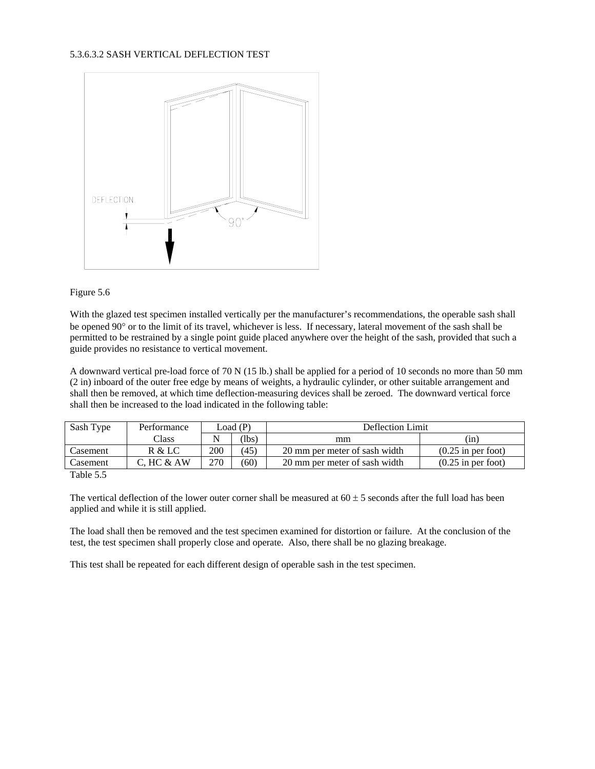### 5.3.6.3.2 SASH VERTICAL DEFLECTION TEST





With the glazed test specimen installed vertically per the manufacturer's recommendations, the operable sash shall be opened 90° or to the limit of its travel, whichever is less. If necessary, lateral movement of the sash shall be permitted to be restrained by a single point guide placed anywhere over the height of the sash, provided that such a guide provides no resistance to vertical movement.

A downward vertical pre-load force of 70 N (15 lb.) shall be applied for a period of 10 seconds no more than 50 mm (2 in) inboard of the outer free edge by means of weights, a hydraulic cylinder, or other suitable arrangement and shall then be removed, at which time deflection-measuring devices shall be zeroed. The downward vertical force shall then be increased to the load indicated in the following table:

| Sash Type                   | Performance | Load (P) |      | Deflection Limit              |                      |  |  |
|-----------------------------|-------------|----------|------|-------------------------------|----------------------|--|--|
|                             | Class       |          | (lbs | mm                            | (in)                 |  |  |
| Casement                    | R & LC      | 200      | (45) | 20 mm per meter of sash width | $(0.25$ in per foot) |  |  |
| Casement                    | C. HC & AW  | 270      | (60) | 20 mm per meter of sash width | $(0.25$ in per foot) |  |  |
| $\sim$ $\sim$ $\sim$ $\sim$ |             |          |      |                               |                      |  |  |

Table 5.5

The vertical deflection of the lower outer corner shall be measured at  $60 \pm 5$  seconds after the full load has been applied and while it is still applied.

The load shall then be removed and the test specimen examined for distortion or failure. At the conclusion of the test, the test specimen shall properly close and operate. Also, there shall be no glazing breakage.

This test shall be repeated for each different design of operable sash in the test specimen.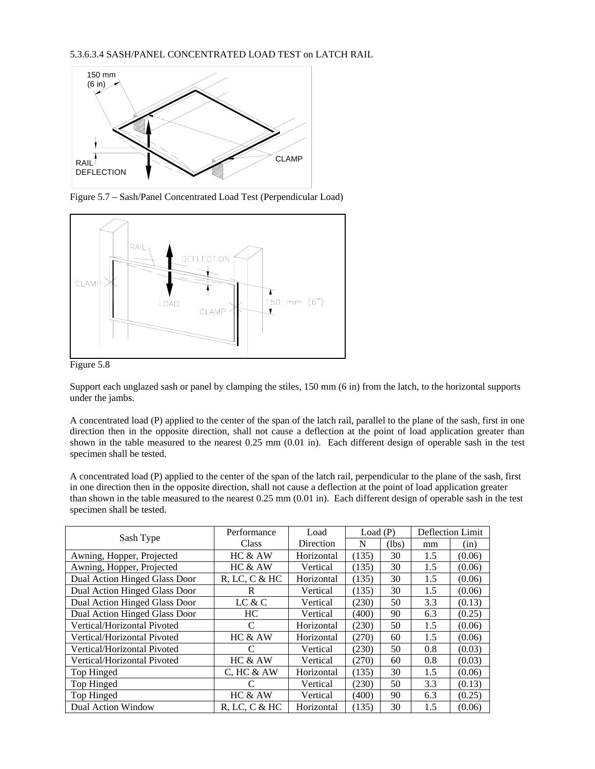

Figure 5.7 – Sash/Panel Concentrated Load Test (Perpendicular Load)



Figure 5.8

Support each unglazed sash or panel by clamping the stiles, 150 mm (6 in) from the latch, to the horizontal supports under the jambs.

A concentrated load (P) applied to the center of the span of the latch rail, parallel to the plane of the sash, first in one direction then in the opposite direction, shall not cause a deflection at the point of load application greater than shown in the table measured to the nearest 0.25 mm (0.01 in). Each different design of operable sash in the test specimen shall be tested.

A concentrated load (P) applied to the center of the span of the latch rail, perpendicular to the plane of the sash, first in one direction then in the opposite direction, shall not cause a deflection at the point of load application greater than shown in the table measured to the nearest 0.25 mm (0.01 in). Each different design of operable sash in the test specimen shall be tested.

|                               | Performance      | Load       | Load(P) |       | Deflection Limit |        |
|-------------------------------|------------------|------------|---------|-------|------------------|--------|
| Sash Type                     | Class            | Direction  | N       | (lbs) | mm               | (in)   |
| Awning, Hopper, Projected     | HC & AW          | Horizontal | (135)   | 30    | 1.5              | (0.06) |
| Awning, Hopper, Projected     | HC & AW          | Vertical   | (135)   | 30    | 1.5              | (0.06) |
| Dual Action Hinged Glass Door | $R$ , LC, C & HC | Horizontal | (135)   | 30    | 1.5              | (0.06) |
| Dual Action Hinged Glass Door | R                | Vertical   | (135)   | 30    | 1.5              | (0.06) |
| Dual Action Hinged Glass Door | LC & C           | Vertical   | (230)   | 50    | 3.3              | (0.13) |
| Dual Action Hinged Glass Door | HC               | Vertical   | (400)   | 90    | 6.3              | (0.25) |
| Vertical/Horizontal Pivoted   | C                | Horizontal | (230)   | 50    | 1.5              | (0.06) |
| Vertical/Horizontal Pivoted   | HC & AW          | Horizontal | (270)   | 60    | 1.5              | (0.06) |
| Vertical/Horizontal Pivoted   | C                | Vertical   | (230)   | 50    | 0.8              | (0.03) |
| Vertical/Horizontal Pivoted   | HC & AW          | Vertical   | (270)   | 60    | 0.8              | (0.03) |
| Top Hinged                    | C, HC & A W      | Horizontal | (135)   | 30    | 1.5              | (0.06) |
| Top Hinged                    |                  | Vertical   | (230)   | 50    | 3.3              | (0.13) |
| Top Hinged                    | HC & AW          | Vertical   | (400)   | 90    | 6.3              | (0.25) |
| Dual Action Window            | $R$ , LC, C & HC | Horizontal | (135)   | 30    | 1.5              | (0.06) |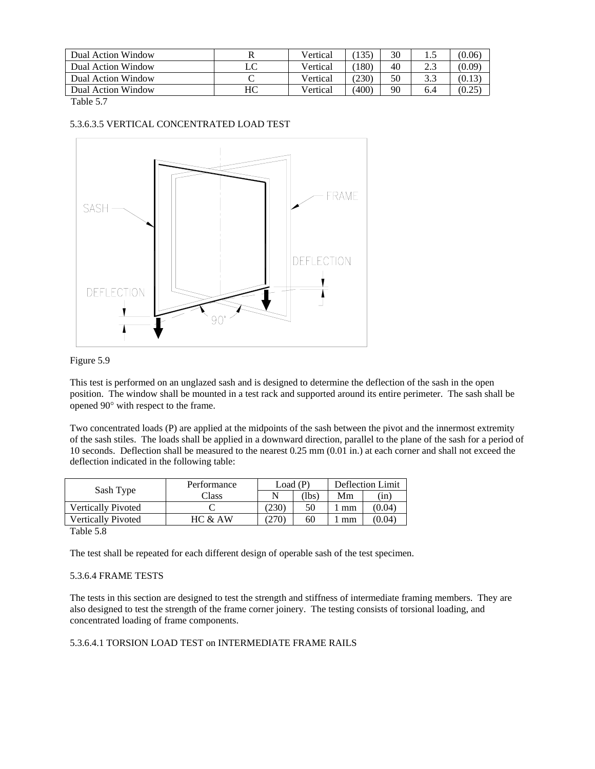| Dual Action Window |    | Vertical | 135   | 30 |     | (0.06) |
|--------------------|----|----------|-------|----|-----|--------|
| Dual Action Window | LC | Vertical | 180)  | 40 | 2.3 | (0.09) |
| Dual Action Window |    | Vertical | (230) | 50 | 3.3 | (0.13) |
| Dual Action Window | HС | Vertical | (400) | 90 | 6.4 | (0.25) |

Table 5.7

## 5.3.6.3.5 VERTICAL CONCENTRATED LOAD TEST



#### Figure 5.9

This test is performed on an unglazed sash and is designed to determine the deflection of the sash in the open position. The window shall be mounted in a test rack and supported around its entire perimeter. The sash shall be opened 90° with respect to the frame.

Two concentrated loads (P) are applied at the midpoints of the sash between the pivot and the innermost extremity of the sash stiles. The loads shall be applied in a downward direction, parallel to the plane of the sash for a period of 10 seconds. Deflection shall be measured to the nearest 0.25 mm (0.01 in.) at each corner and shall not exceed the deflection indicated in the following table:

|                           | Performance |       | Load (P) | Deflection Limit |        |
|---------------------------|-------------|-------|----------|------------------|--------|
| Sash Type                 | Class       |       | lbs      | Mm               | (in)   |
| <b>Vertically Pivoted</b> |             | (230) | 50       | mm               | (0.04) |
| Vertically Pivoted        | HC & AW     | 270   | 60       | mm               | (0.04) |
| ------                    |             |       |          |                  |        |

Table 5.8

The test shall be repeated for each different design of operable sash of the test specimen.

# 5.3.6.4 FRAME TESTS

The tests in this section are designed to test the strength and stiffness of intermediate framing members. They are also designed to test the strength of the frame corner joinery. The testing consists of torsional loading, and concentrated loading of frame components.

# 5.3.6.4.1 TORSION LOAD TEST on INTERMEDIATE FRAME RAILS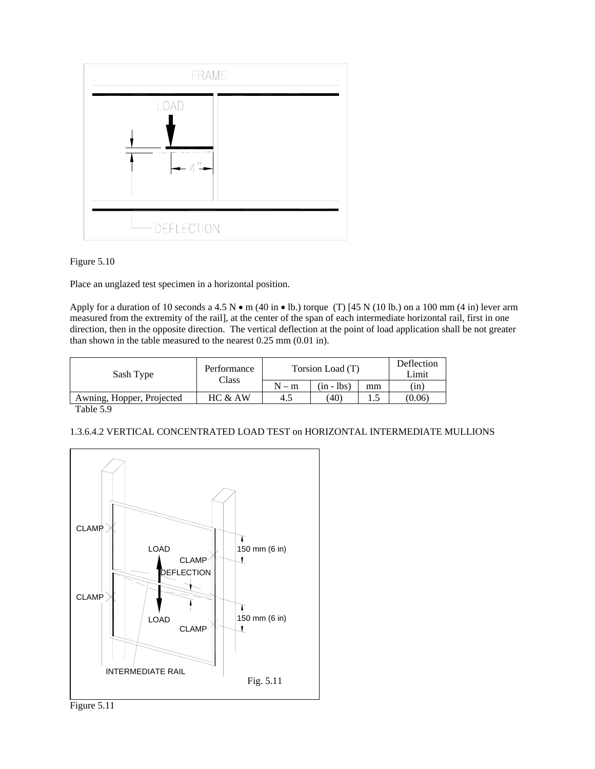



Place an unglazed test specimen in a horizontal position.

Apply for a duration of 10 seconds a 4.5 N  $\bullet$  m (40 in  $\bullet$  lb.) torque (T) [45 N (10 lb.) on a 100 mm (4 in) lever arm measured from the extremity of the rail], at the center of the span of each intermediate horizontal rail, first in one direction, then in the opposite direction. The vertical deflection at the point of load application shall be not greater than shown in the table measured to the nearest 0.25 mm (0.01 in).

| Sash Type                 | Performance<br>Class | Torsion Load (T) | Deflection<br>Limit |    |        |
|---------------------------|----------------------|------------------|---------------------|----|--------|
|                           |                      | $N-m$            | $(in - lbs)$        | mm | (in)   |
| Awning, Hopper, Projected | HC & AW              | 4.5              | (40)                |    | (0.06) |
|                           |                      |                  |                     |    |        |

Table 5.9

## 1.3.6.4.2 VERTICAL CONCENTRATED LOAD TEST on HORIZONTAL INTERMEDIATE MULLIONS

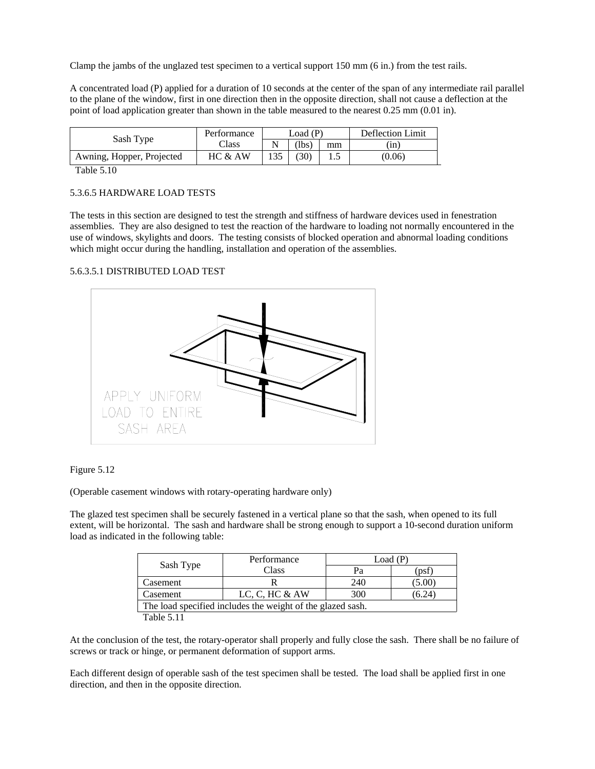Clamp the jambs of the unglazed test specimen to a vertical support 150 mm (6 in.) from the test rails.

A concentrated load (P) applied for a duration of 10 seconds at the center of the span of any intermediate rail parallel to the plane of the window, first in one direction then in the opposite direction, shall not cause a deflection at the point of load application greater than shown in the table measured to the nearest 0.25 mm (0.01 in).

| Sash Type                 | Performance | Load (P) |          |    | Deflection Limit |  |
|---------------------------|-------------|----------|----------|----|------------------|--|
|                           | Class       |          | $\Delta$ | mm | (in)             |  |
| Awning, Hopper, Projected | HC & AW     |          | (30)     |    | (0.06)           |  |

Table 5.10

## 5.3.6.5 HARDWARE LOAD TESTS

The tests in this section are designed to test the strength and stiffness of hardware devices used in fenestration assemblies. They are also designed to test the reaction of the hardware to loading not normally encountered in the use of windows, skylights and doors. The testing consists of blocked operation and abnormal loading conditions which might occur during the handling, installation and operation of the assemblies.

#### 5.6.3.5.1 DISTRIBUTED LOAD TEST





(Operable casement windows with rotary-operating hardware only)

The glazed test specimen shall be securely fastened in a vertical plane so that the sash, when opened to its full extent, will be horizontal. The sash and hardware shall be strong enough to support a 10-second duration uniform load as indicated in the following table:

| Sash Type                                                  | Performance      | Load (P) |       |  |  |  |
|------------------------------------------------------------|------------------|----------|-------|--|--|--|
|                                                            | Class            | Pа       | (psf  |  |  |  |
| Casement                                                   |                  | 240      | 5.00) |  |  |  |
| Casement                                                   | LC, C, HC $&$ AW | 300      | 6.24  |  |  |  |
| The load specified includes the weight of the glazed sash. |                  |          |       |  |  |  |
| Table 5.11                                                 |                  |          |       |  |  |  |

At the conclusion of the test, the rotary-operator shall properly and fully close the sash. There shall be no failure of screws or track or hinge, or permanent deformation of support arms.

Each different design of operable sash of the test specimen shall be tested. The load shall be applied first in one direction, and then in the opposite direction.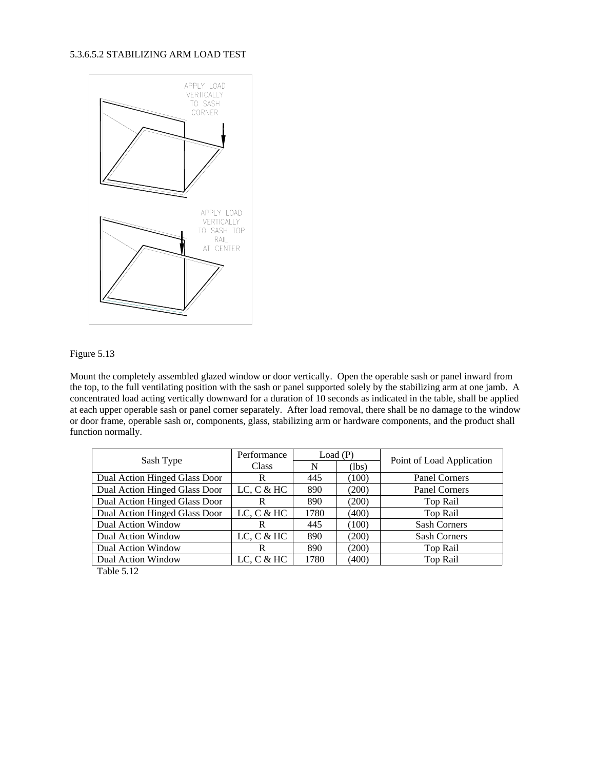### 5.3.6.5.2 STABILIZING ARM LOAD TEST





Mount the completely assembled glazed window or door vertically. Open the operable sash or panel inward from the top, to the full ventilating position with the sash or panel supported solely by the stabilizing arm at one jamb. A concentrated load acting vertically downward for a duration of 10 seconds as indicated in the table, shall be applied at each upper operable sash or panel corner separately. After load removal, there shall be no damage to the window or door frame, operable sash or, components, glass, stabilizing arm or hardware components, and the product shall function normally.

|                               | Performance |      | Load(P) | Point of Load Application |  |
|-------------------------------|-------------|------|---------|---------------------------|--|
| Sash Type                     | Class       | N    | (lbs)   |                           |  |
| Dual Action Hinged Glass Door | R           | 445  | (100)   | Panel Corners             |  |
| Dual Action Hinged Glass Door | LC, C & H   | 890  | (200)   | Panel Corners             |  |
| Dual Action Hinged Glass Door | R           | 890  | (200)   | Top Rail                  |  |
| Dual Action Hinged Glass Door | LC, C & H   | 1780 | (400)   | Top Rail                  |  |
| Dual Action Window            | R           | 445  | (100)   | <b>Sash Corners</b>       |  |
| Dual Action Window            | LC, C & H   | 890  | (200)   | <b>Sash Corners</b>       |  |
| Dual Action Window            | R           | 890  | (200)   | Top Rail                  |  |
| Dual Action Window            | LC, C & HC  | 1780 | (400)   | Top Rail                  |  |

Table 5.12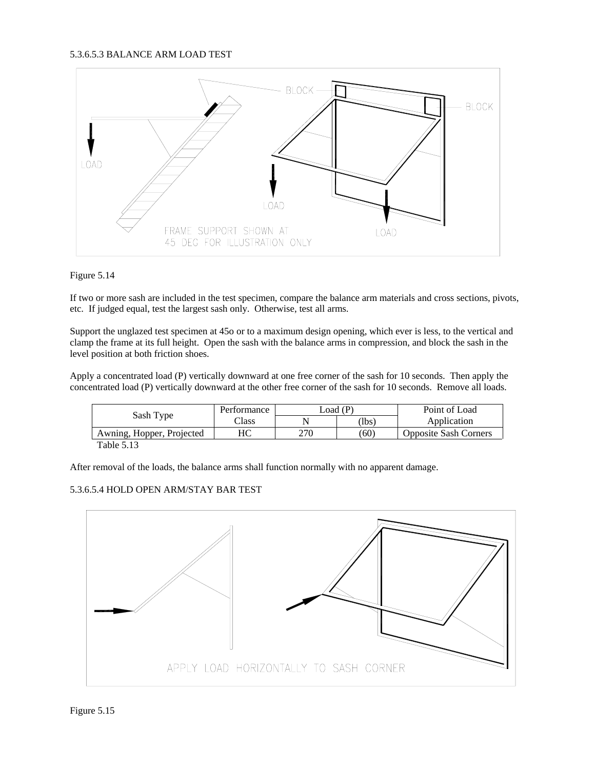

## Figure 5.14

If two or more sash are included in the test specimen, compare the balance arm materials and cross sections, pivots, etc. If judged equal, test the largest sash only. Otherwise, test all arms.

Support the unglazed test specimen at 45o or to a maximum design opening, which ever is less, to the vertical and clamp the frame at its full height. Open the sash with the balance arms in compression, and block the sash in the level position at both friction shoes.

Apply a concentrated load (P) vertically downward at one free corner of the sash for 10 seconds. Then apply the concentrated load (P) vertically downward at the other free corner of the sash for 10 seconds. Remove all loads.

| Sash Type                 | Performance   | $\text{load}$ (P) |      | Point of Load                |
|---------------------------|---------------|-------------------|------|------------------------------|
|                           | $\gamma$ lass |                   | 'lbs | Application                  |
| Awning, Hopper, Projected | HС            | 270               | (60) | <b>Opposite Sash Corners</b> |
| $T = 11.712$              |               |                   |      |                              |

Table 5.13

After removal of the loads, the balance arms shall function normally with no apparent damage.

## 5.3.6.5.4 HOLD OPEN ARM/STAY BAR TEST

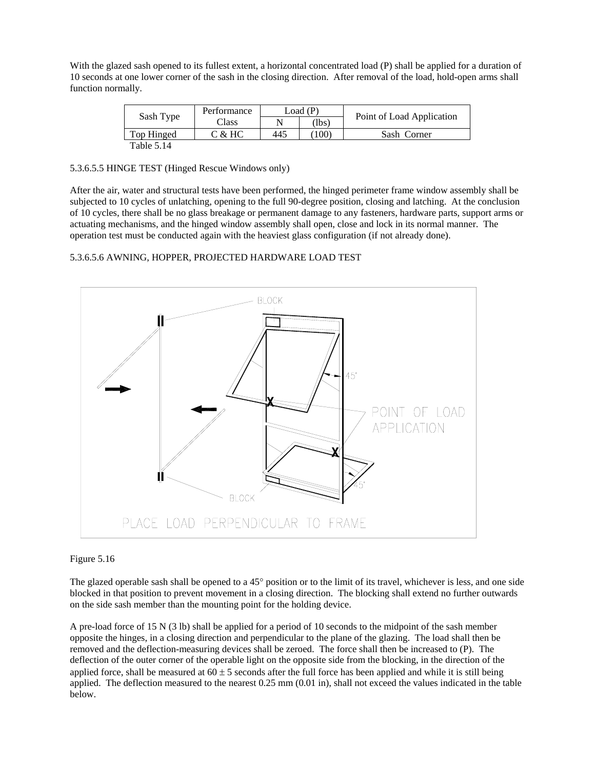With the glazed sash opened to its fullest extent, a horizontal concentrated load (P) shall be applied for a duration of 10 seconds at one lower corner of the sash in the closing direction. After removal of the load, hold-open arms shall function normally.

|            | Performance | Load (P) |       |                           |  |
|------------|-------------|----------|-------|---------------------------|--|
| Sash Type  | Class       |          | (lbs) | Point of Load Application |  |
| Top Hinged | C & H C     | 445      | 100)  | Sash Corner               |  |
| Table 5.14 |             |          |       |                           |  |

5.3.6.5.5 HINGE TEST (Hinged Rescue Windows only)

After the air, water and structural tests have been performed, the hinged perimeter frame window assembly shall be subjected to 10 cycles of unlatching, opening to the full 90-degree position, closing and latching. At the conclusion of 10 cycles, there shall be no glass breakage or permanent damage to any fasteners, hardware parts, support arms or actuating mechanisms, and the hinged window assembly shall open, close and lock in its normal manner. The operation test must be conducted again with the heaviest glass configuration (if not already done).

## 5.3.6.5.6 AWNING, HOPPER, PROJECTED HARDWARE LOAD TEST



#### Figure 5.16

The glazed operable sash shall be opened to a 45° position or to the limit of its travel, whichever is less, and one side blocked in that position to prevent movement in a closing direction. The blocking shall extend no further outwards on the side sash member than the mounting point for the holding device.

A pre-load force of 15 N (3 lb) shall be applied for a period of 10 seconds to the midpoint of the sash member opposite the hinges, in a closing direction and perpendicular to the plane of the glazing. The load shall then be removed and the deflection-measuring devices shall be zeroed. The force shall then be increased to (P). The deflection of the outer corner of the operable light on the opposite side from the blocking, in the direction of the applied force, shall be measured at  $60 \pm 5$  seconds after the full force has been applied and while it is still being applied. The deflection measured to the nearest 0.25 mm (0.01 in), shall not exceed the values indicated in the table below.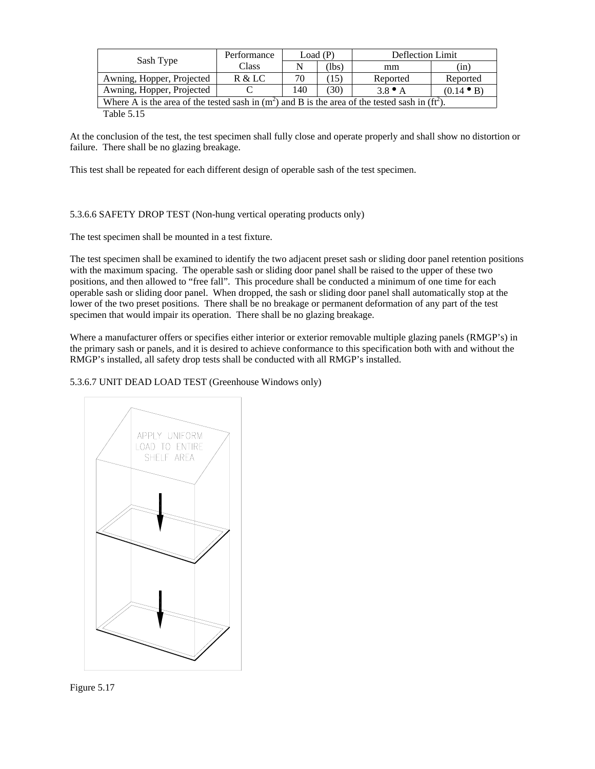| Sash Type                                                                                            | Performance | Load(P) |            | Deflection Limit |                    |
|------------------------------------------------------------------------------------------------------|-------------|---------|------------|------------------|--------------------|
|                                                                                                      | Class       |         | (lbs)      | mm               | (in)               |
| Awning, Hopper, Projected                                                                            | R & LC      | 70      | $15^\circ$ | Reported         | Reported           |
| Awning, Hopper, Projected                                                                            |             | 140     | (30)       | $3.8 \bullet A$  | $(0.14 \bullet B)$ |
| Where A is the area of the tested sash in $(m^2)$ and B is the area of the tested sash in $(ft^2)$ . |             |         |            |                  |                    |
| --------                                                                                             |             |         |            |                  |                    |

Table 5.15

At the conclusion of the test, the test specimen shall fully close and operate properly and shall show no distortion or failure. There shall be no glazing breakage.

This test shall be repeated for each different design of operable sash of the test specimen.

## 5.3.6.6 SAFETY DROP TEST (Non-hung vertical operating products only)

The test specimen shall be mounted in a test fixture.

The test specimen shall be examined to identify the two adjacent preset sash or sliding door panel retention positions with the maximum spacing. The operable sash or sliding door panel shall be raised to the upper of these two positions, and then allowed to "free fall". This procedure shall be conducted a minimum of one time for each operable sash or sliding door panel. When dropped, the sash or sliding door panel shall automatically stop at the lower of the two preset positions. There shall be no breakage or permanent deformation of any part of the test specimen that would impair its operation. There shall be no glazing breakage.

Where a manufacturer offers or specifies either interior or exterior removable multiple glazing panels (RMGP's) in the primary sash or panels, and it is desired to achieve conformance to this specification both with and without the RMGP's installed, all safety drop tests shall be conducted with all RMGP's installed.

5.3.6.7 UNIT DEAD LOAD TEST (Greenhouse Windows only)



Figure 5.17